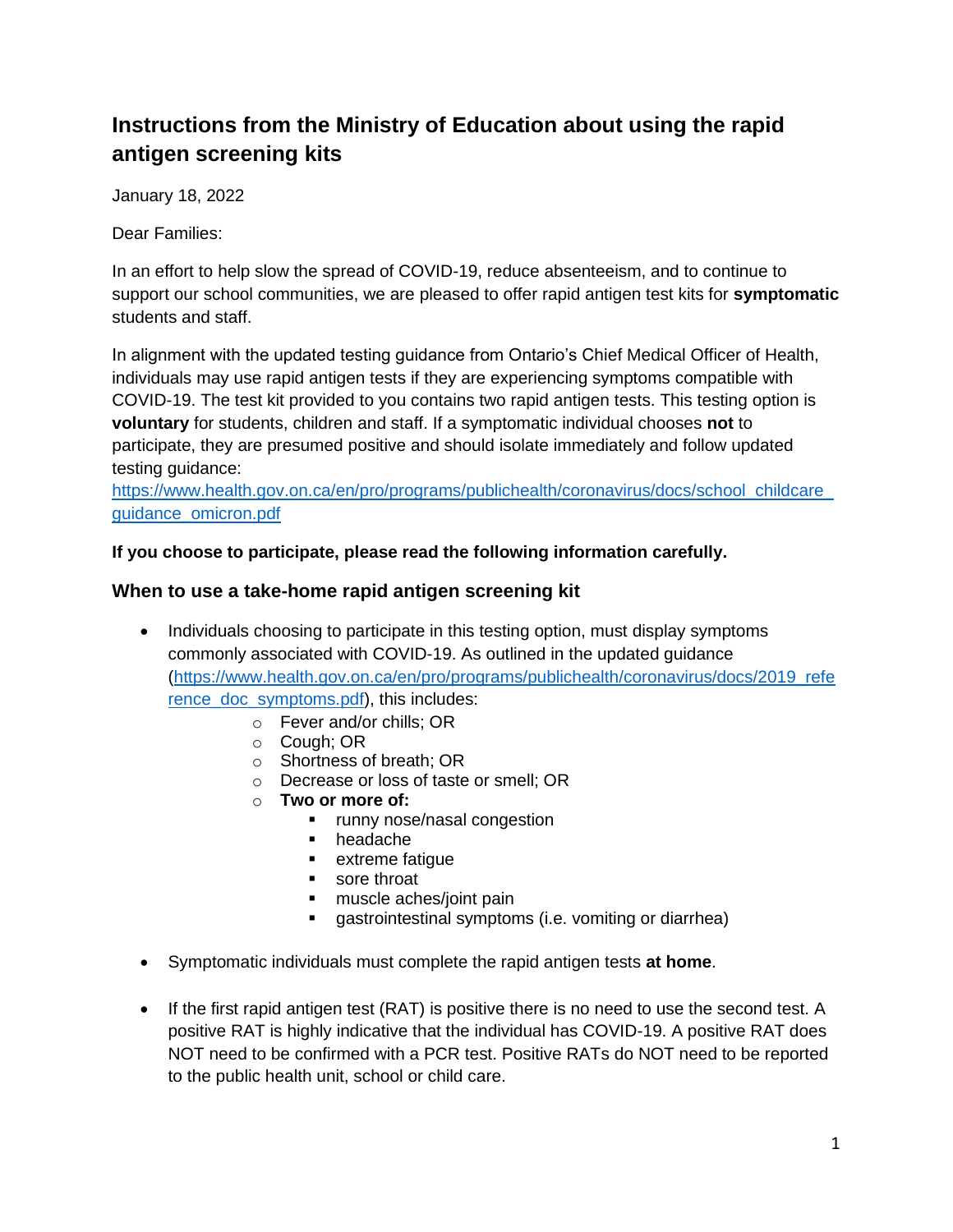# **Instructions from the Ministry of Education about using the rapid antigen screening kits**

January 18, 2022

Dear Families:

In an effort to help slow the spread of COVID-19, reduce absenteeism, and to continue to support our school communities, we are pleased to offer rapid antigen test kits for **symptomatic**  students and staff.

In alignment with the updated testing guidance from Ontario's Chief Medical Officer of Health, individuals may use rapid antigen tests if they are experiencing symptoms compatible with COVID-19. The test kit provided to you contains two rapid antigen tests. This testing option is **voluntary** for students, children and staff. If a symptomatic individual chooses **not** to participate, they are presumed positive and should isolate immediately and follow updated testing guidance:

[https://www.health.gov.on.ca/en/pro/programs/publichealth/coronavirus/docs/school\\_childcare\\_](https://www.health.gov.on.ca/en/pro/programs/publichealth/coronavirus/docs/school_childcare_guidance_omicron.pdf) [guidance\\_omicron.pdf](https://www.health.gov.on.ca/en/pro/programs/publichealth/coronavirus/docs/school_childcare_guidance_omicron.pdf)

**If you choose to participate, please read the following information carefully.**

# **When to use a take-home rapid antigen screening kit**

- Individuals choosing to participate in this testing option, must display symptoms commonly associated with COVID-19. As outlined in the updated guidance [\(https://www.health.gov.on.ca/en/pro/programs/publichealth/coronavirus/docs/2019\\_refe](https://www.health.gov.on.ca/en/pro/programs/publichealth/coronavirus/docs/2019_reference_doc_symptoms.pdf) [rence\\_doc\\_symptoms.pdf\)](https://www.health.gov.on.ca/en/pro/programs/publichealth/coronavirus/docs/2019_reference_doc_symptoms.pdf), this includes:
	- o Fever and/or chills; OR
	- o Cough; OR
	- o Shortness of breath; OR
	- o Decrease or loss of taste or smell; OR
	- o **Two or more of:**
		- runny nose/nasal congestion
		- headache
		- extreme fatique
		- sore throat
		- muscle aches/joint pain
		- gastrointestinal symptoms (i.e. vomiting or diarrhea)
- Symptomatic individuals must complete the rapid antigen tests **at home**.
- If the first rapid antigen test (RAT) is positive there is no need to use the second test. A positive RAT is highly indicative that the individual has COVID-19. A positive RAT does NOT need to be confirmed with a PCR test. Positive RATs do NOT need to be reported to the public health unit, school or child care.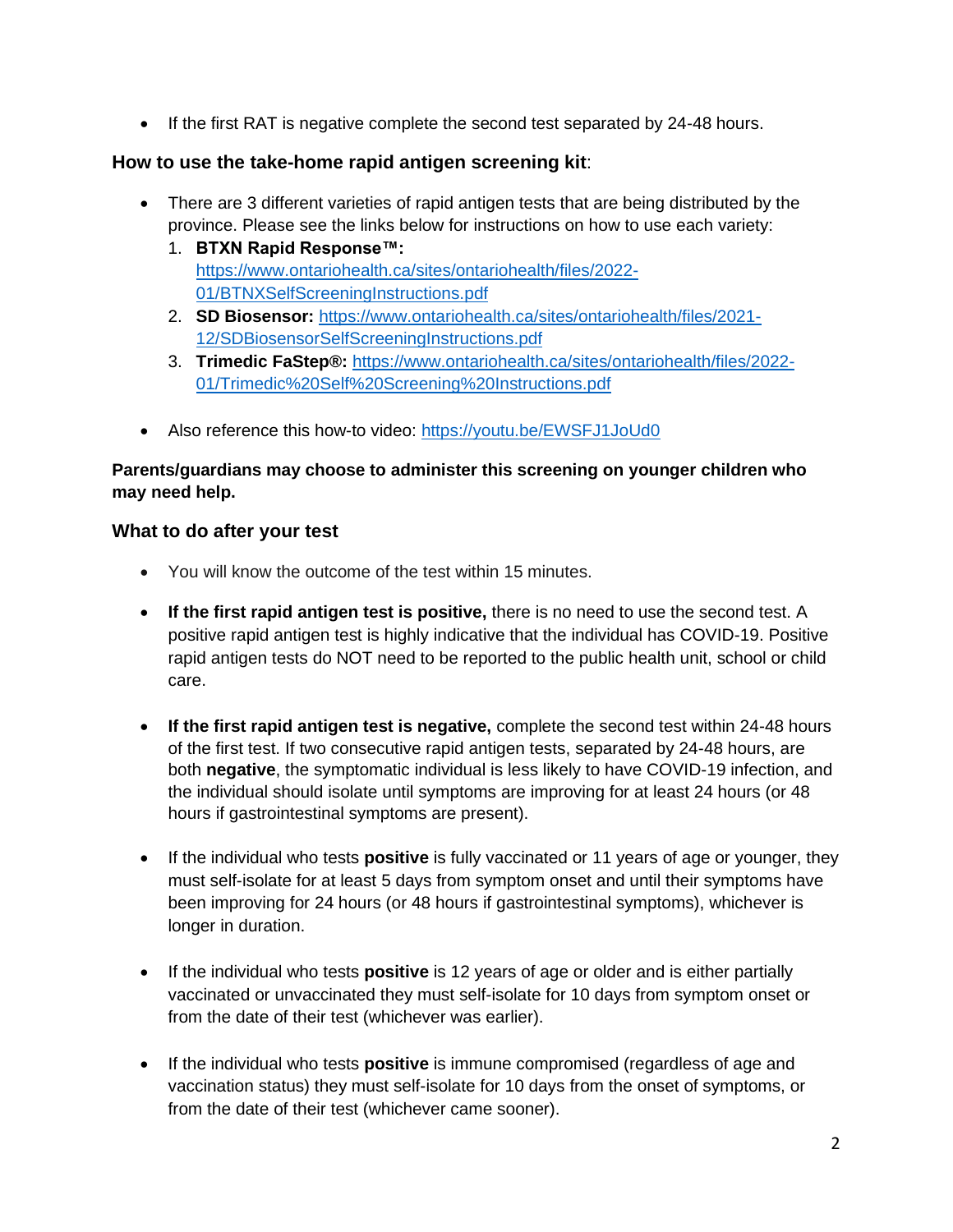• If the first RAT is negative complete the second test separated by 24-48 hours.

# **How to use the take-home rapid antigen screening kit**:

- There are 3 different varieties of rapid antigen tests that are being distributed by the province. Please see the links below for instructions on how to use each variety:
	- 1. **BTXN Rapid Response™:**  [https://www.ontariohealth.ca/sites/ontariohealth/files/2022-](https://www.ontariohealth.ca/sites/ontariohealth/files/2022-01/BTNXSelfScreeningInstructions.pdf) [01/BTNXSelfScreeningInstructions.pdf](https://www.ontariohealth.ca/sites/ontariohealth/files/2022-01/BTNXSelfScreeningInstructions.pdf)
	- 2. **SD Biosensor:** [https://www.ontariohealth.ca/sites/ontariohealth/files/2021-](https://www.ontariohealth.ca/sites/ontariohealth/files/2021-12/SDBiosensorSelfScreeningInstructions.pdf) [12/SDBiosensorSelfScreeningInstructions.pdf](https://www.ontariohealth.ca/sites/ontariohealth/files/2021-12/SDBiosensorSelfScreeningInstructions.pdf)
	- 3. **Trimedic FaStep®:** [https://www.ontariohealth.ca/sites/ontariohealth/files/2022-](https://www.ontariohealth.ca/sites/ontariohealth/files/2022-01/Trimedic%20Self%20Screening%20Instructions.pdf) [01/Trimedic%20Self%20Screening%20Instructions.pdf](https://www.ontariohealth.ca/sites/ontariohealth/files/2022-01/Trimedic%20Self%20Screening%20Instructions.pdf)
- Also reference this how-to video:<https://youtu.be/EWSFJ1JoUd0>

# **Parents/guardians may choose to administer this screening on younger children who may need help.**

# **What to do after your test**

- You will know the outcome of the test within 15 minutes.
- **If the first rapid antigen test is positive,** there is no need to use the second test. A positive rapid antigen test is highly indicative that the individual has COVID-19. Positive rapid antigen tests do NOT need to be reported to the public health unit, school or child care.
- **If the first rapid antigen test is negative,** complete the second test within 24-48 hours of the first test. If two consecutive rapid antigen tests, separated by 24-48 hours, are both **negative**, the symptomatic individual is less likely to have COVID-19 infection, and the individual should isolate until symptoms are improving for at least 24 hours (or 48 hours if gastrointestinal symptoms are present).
- If the individual who tests **positive** is fully vaccinated or 11 years of age or younger, they must self-isolate for at least 5 days from symptom onset and until their symptoms have been improving for 24 hours (or 48 hours if gastrointestinal symptoms), whichever is longer in duration.
- If the individual who tests **positive** is 12 years of age or older and is either partially vaccinated or unvaccinated they must self-isolate for 10 days from symptom onset or from the date of their test (whichever was earlier).
- If the individual who tests **positive** is immune compromised (regardless of age and vaccination status) they must self-isolate for 10 days from the onset of symptoms, or from the date of their test (whichever came sooner).